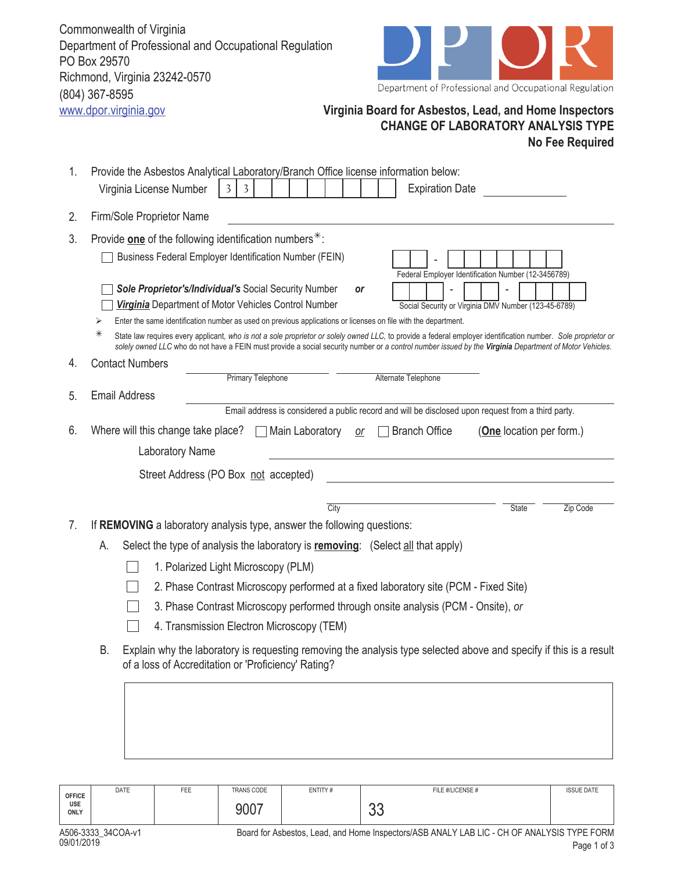Commonwealth of Virginia Department of Professional and Occupational Regulation PO Box 29570 Richmond, Virginia 23242-0570 (804) 367-8595<br>www.dpor.virginia.gov



Department of Professional and Occupational Regulation

## **Virginia Board for Asbestos, Lead, and Home Inspectors CHANGE OF LABORATORY ANALYSIS TYPE No Fee Required**

| 1. | Provide the Asbestos Analytical Laboratory/Branch Office license information below:                                                                                                                                                                                                  |  |  |  |  |  |  |  |
|----|--------------------------------------------------------------------------------------------------------------------------------------------------------------------------------------------------------------------------------------------------------------------------------------|--|--|--|--|--|--|--|
|    | Virginia License Number<br><b>Expiration Date</b><br>-3<br>3.                                                                                                                                                                                                                        |  |  |  |  |  |  |  |
|    |                                                                                                                                                                                                                                                                                      |  |  |  |  |  |  |  |
| 2. | Firm/Sole Proprietor Name                                                                                                                                                                                                                                                            |  |  |  |  |  |  |  |
| 3. | Provide one of the following identification numbers <sup>*</sup> :                                                                                                                                                                                                                   |  |  |  |  |  |  |  |
|    | Business Federal Employer Identification Number (FEIN)                                                                                                                                                                                                                               |  |  |  |  |  |  |  |
|    | Federal Employer Identification Number (12-3456789)                                                                                                                                                                                                                                  |  |  |  |  |  |  |  |
|    | Sole Proprietor's/Individual's Social Security Number<br>or                                                                                                                                                                                                                          |  |  |  |  |  |  |  |
|    | Virginia Department of Motor Vehicles Control Number<br>Social Security or Virginia DMV Number (123-45-6789)                                                                                                                                                                         |  |  |  |  |  |  |  |
|    | Enter the same identification number as used on previous applications or licenses on file with the department.<br>⋇<br>State law requires every applicant, who is not a sole proprietor or solely owned LLC, to provide a federal employer identification number. Sole proprietor or |  |  |  |  |  |  |  |
|    | solely owned LLC who do not have a FEIN must provide a social security number or a control number issued by the Virginia Department of Motor Vehicles.                                                                                                                               |  |  |  |  |  |  |  |
| 4. | <b>Contact Numbers</b>                                                                                                                                                                                                                                                               |  |  |  |  |  |  |  |
|    | <b>Primary Telephone</b><br>Alternate Telephone                                                                                                                                                                                                                                      |  |  |  |  |  |  |  |
| 5. | <b>Email Address</b>                                                                                                                                                                                                                                                                 |  |  |  |  |  |  |  |
|    | Email address is considered a public record and will be disclosed upon request from a third party.                                                                                                                                                                                   |  |  |  |  |  |  |  |
| 6. | Where will this change take place?<br>Main Laboratory<br>□ Branch Office<br>( <b>One</b> location per form.)<br>$or$                                                                                                                                                                 |  |  |  |  |  |  |  |
|    | <b>Laboratory Name</b>                                                                                                                                                                                                                                                               |  |  |  |  |  |  |  |
|    | Street Address (PO Box not accepted)                                                                                                                                                                                                                                                 |  |  |  |  |  |  |  |
|    |                                                                                                                                                                                                                                                                                      |  |  |  |  |  |  |  |
|    | City<br><b>State</b><br>Zip Code                                                                                                                                                                                                                                                     |  |  |  |  |  |  |  |
| 7. | If REMOVING a laboratory analysis type, answer the following questions:                                                                                                                                                                                                              |  |  |  |  |  |  |  |
|    | Select the type of analysis the laboratory is <b>removing</b> : (Select all that apply)<br>А.                                                                                                                                                                                        |  |  |  |  |  |  |  |
|    | 1. Polarized Light Microscopy (PLM)                                                                                                                                                                                                                                                  |  |  |  |  |  |  |  |
|    | 2. Phase Contrast Microscopy performed at a fixed laboratory site (PCM - Fixed Site)                                                                                                                                                                                                 |  |  |  |  |  |  |  |
|    | 3. Phase Contrast Microscopy performed through onsite analysis (PCM - Onsite), or                                                                                                                                                                                                    |  |  |  |  |  |  |  |
|    | 4. Transmission Electron Microscopy (TEM)                                                                                                                                                                                                                                            |  |  |  |  |  |  |  |
|    |                                                                                                                                                                                                                                                                                      |  |  |  |  |  |  |  |
|    | Explain why the laboratory is requesting removing the analysis type selected above and specify if this is a result<br>В.<br>of a loss of Accreditation or 'Proficiency' Rating?                                                                                                      |  |  |  |  |  |  |  |
|    |                                                                                                                                                                                                                                                                                      |  |  |  |  |  |  |  |
|    |                                                                                                                                                                                                                                                                                      |  |  |  |  |  |  |  |
|    |                                                                                                                                                                                                                                                                                      |  |  |  |  |  |  |  |
|    |                                                                                                                                                                                                                                                                                      |  |  |  |  |  |  |  |

| <b>OFFICE</b><br><b>USE</b><br>ONLY | DATE               | FEE | TRANS CODE | ENTITY# | FILE #/LICENSE #                                                                           | <b>ISSUE DATE</b> |
|-------------------------------------|--------------------|-----|------------|---------|--------------------------------------------------------------------------------------------|-------------------|
|                                     |                    |     | 9007       |         | $\sim$<br>Uu                                                                               |                   |
|                                     | A506-3333 34COA-v1 |     |            |         | Board for Asbestos, Lead, and Home Inspectors/ASB ANALY LAB LIC - CH OF ANALYSIS TYPE FORM |                   |

Page 1 of 3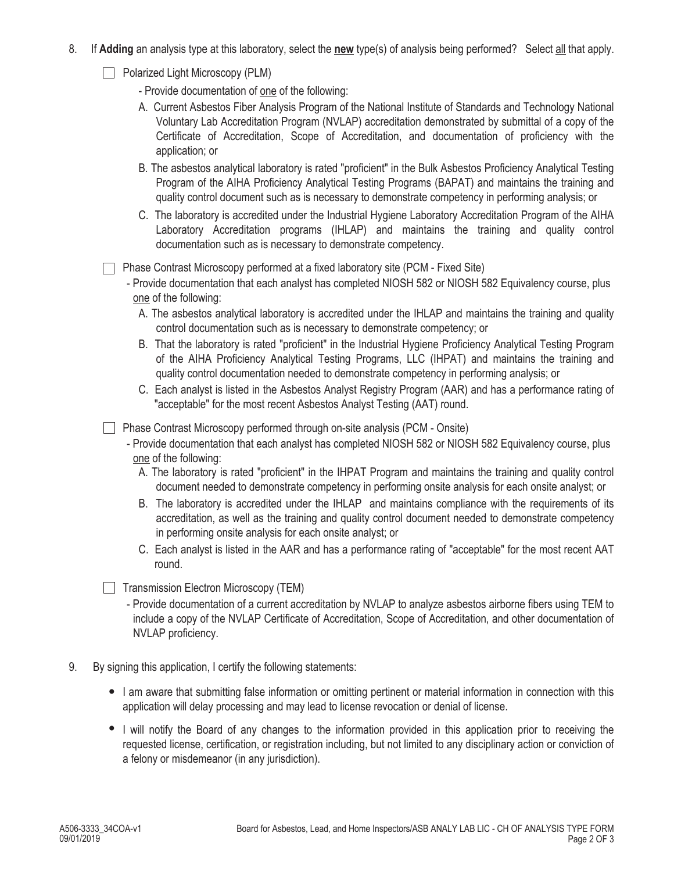- 8. If **Adding** an analysis type at this laboratory, select the **new** type(s) of analysis being performed? Select all that apply.
	- **Polarized Light Microscopy (PLM)**

- Provide documentation of one of the following:

- A. Current Asbestos Fiber Analysis Program of the National Institute of Standards and Technology National Voluntary Lab Accreditation Program (NVLAP) accreditation demonstrated by submittal of a copy of the Certificate of Accreditation, Scope of Accreditation, and documentation of proficiency with the application; or
- B. The asbestos analytical laboratory is rated "proficient" in the Bulk Asbestos Proficiency Analytical Testing Program of the AIHA Proficiency Analytical Testing Programs (BAPAT) and maintains the training and quality control document such as is necessary to demonstrate competency in performing analysis; or
- C. The laboratory is accredited under the Industrial Hygiene Laboratory Accreditation Program of the AIHA Laboratory Accreditation programs (IHLAP) and maintains the training and quality control documentation such as is necessary to demonstrate competency.

Phase Contrast Microscopy performed at a fixed laboratory site (PCM - Fixed Site)

- Provide documentation that each analyst has completed NIOSH 582 or NIOSH 582 Equivalency course, plus one of the following:
	- A. The asbestos analytical laboratory is accredited under the IHLAP and maintains the training and quality control documentation such as is necessary to demonstrate competency; or
	- B. That the laboratory is rated "proficient" in the Industrial Hygiene Proficiency Analytical Testing Program of the AIHA Proficiency Analytical Testing Programs, LLC (IHPAT) and maintains the training and quality control documentation needed to demonstrate competency in performing analysis; or
	- C. Each analyst is listed in the Asbestos Analyst Registry Program (AAR) and has a performance rating of "acceptable" for the most recent Asbestos Analyst Testing (AAT) round.

Phase Contrast Microscopy performed through on-site analysis (PCM - Onsite)

- Provide documentation that each analyst has completed NIOSH 582 or NIOSH 582 Equivalency course, plus one of the following:
	- A. The laboratory is rated "proficient" in the IHPAT Program and maintains the training and quality control document needed to demonstrate competency in performing onsite analysis for each onsite analyst; or
	- B. The laboratory is accredited under the IHLAP and maintains compliance with the requirements of its accreditation, as well as the training and quality control document needed to demonstrate competency in performing onsite analysis for each onsite analyst; or
	- C. Each analyst is listed in the AAR and has a performance rating of "acceptable" for the most recent AAT round.

 $\Box$  Transmission Electron Microscopy (TEM)

- Provide documentation of a current accreditation by NVLAP to analyze asbestos airborne fibers using TEM to include a copy of the NVLAP Certificate of Accreditation, Scope of Accreditation, and other documentation of NVLAP proficiency.
- 9. By signing this application, I certify the following statements:
	- I am aware that submitting false information or omitting pertinent or material information in connection with this application will delay processing and may lead to license revocation or denial of license.
	- I will notify the Board of any changes to the information provided in this application prior to receiving the requested license, certification, or registration including, but not limited to any disciplinary action or conviction of a felony or misdemeanor (in any jurisdiction).